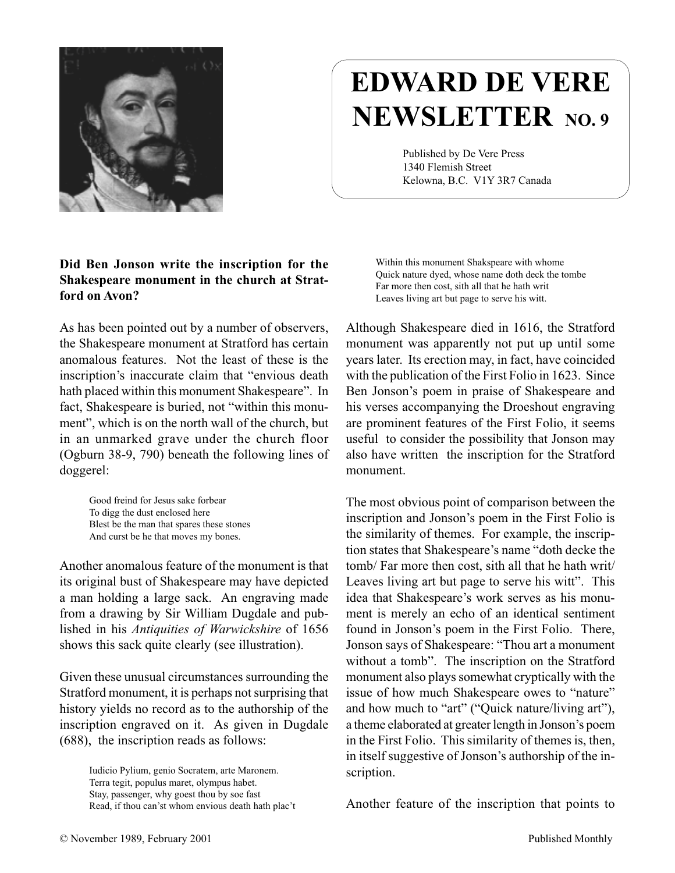

## **EDWARD DE VERE NEWSLETTER NO. 9**

Published by De Vere Press 1340 Flemish Street Kelowna, B.C. V1Y 3R7 Canada

## **Did Ben Jonson write the inscription for the Shakespeare monument in the church at Stratford on Avon?**

As has been pointed out by a number of observers, the Shakespeare monument at Stratford has certain anomalous features. Not the least of these is the inscription's inaccurate claim that "envious death hath placed within this monument Shakespeare". In fact, Shakespeare is buried, not "within this monument", which is on the north wall of the church, but in an unmarked grave under the church floor (Ogburn 38-9, 790) beneath the following lines of doggerel:

> Good freind for Jesus sake forbear To digg the dust enclosed here Blest be the man that spares these stones And curst be he that moves my bones.

Another anomalous feature of the monument is that its original bust of Shakespeare may have depicted a man holding a large sack. An engraving made from a drawing by Sir William Dugdale and published in his *Antiquities of Warwickshire* of 1656 shows this sack quite clearly (see illustration).

Given these unusual circumstances surrounding the Stratford monument, it is perhaps not surprising that history yields no record as to the authorship of the inscription engraved on it. As given in Dugdale (688), the inscription reads as follows:

> Iudicio Pylium, genio Socratem, arte Maronem. Terra tegit, populus maret, olympus habet. Stay, passenger, why goest thou by soe fast Read, if thou can'st whom envious death hath plac't

Within this monument Shakspeare with whome Quick nature dyed, whose name doth deck the tombe Far more then cost, sith all that he hath writ Leaves living art but page to serve his witt.

Although Shakespeare died in 1616, the Stratford monument was apparently not put up until some years later. Its erection may, in fact, have coincided with the publication of the First Folio in 1623. Since Ben Jonson's poem in praise of Shakespeare and his verses accompanying the Droeshout engraving are prominent features of the First Folio, it seems useful to consider the possibility that Jonson may also have written the inscription for the Stratford monument.

The most obvious point of comparison between the inscription and Jonson's poem in the First Folio is the similarity of themes. For example, the inscription states that Shakespeare's name "doth decke the tomb/ Far more then cost, sith all that he hath writ/ Leaves living art but page to serve his witt". This idea that Shakespeare's work serves as his monument is merely an echo of an identical sentiment found in Jonson's poem in the First Folio. There, Jonson says of Shakespeare: "Thou art a monument without a tomb". The inscription on the Stratford monument also plays somewhat cryptically with the issue of how much Shakespeare owes to "nature" and how much to "art" ("Quick nature/living art"), a theme elaborated at greater length in Jonson's poem in the First Folio. This similarity of themes is, then, in itself suggestive of Jonson's authorship of the inscription.

Another feature of the inscription that points to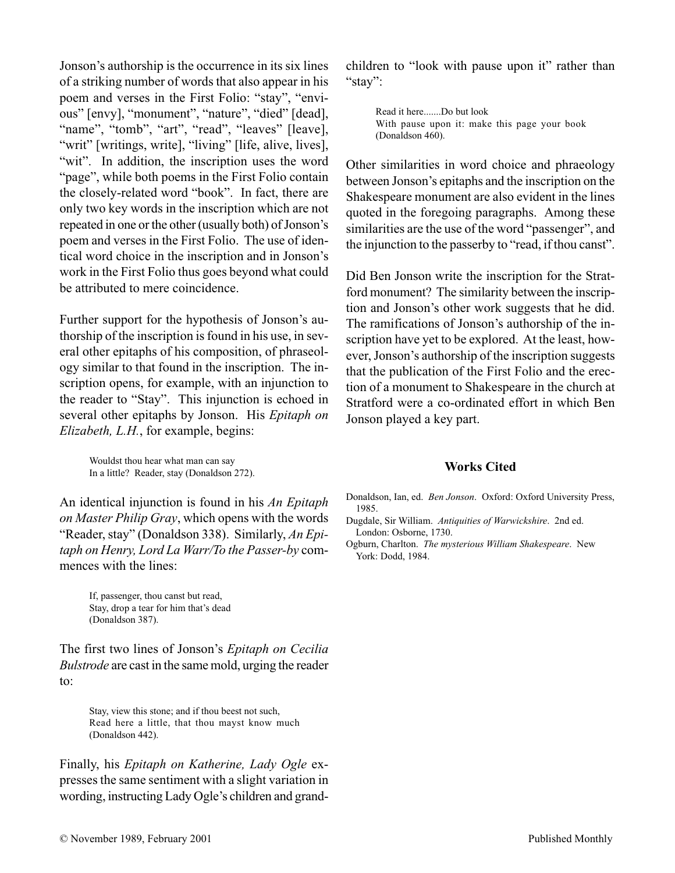Jonson's authorship is the occurrence in its six lines of a striking number of words that also appear in his poem and verses in the First Folio: "stay", "envious" [envy], "monument", "nature", "died" [dead], "name", "tomb", "art", "read", "leaves" [leave], "writ" [writings, write], "living" [life, alive, lives], "wit". In addition, the inscription uses the word "page", while both poems in the First Folio contain the closely-related word "book". In fact, there are only two key words in the inscription which are not repeated in one or the other (usually both) of Jonson's poem and verses in the First Folio. The use of identical word choice in the inscription and in Jonson's work in the First Folio thus goes beyond what could be attributed to mere coincidence.

Further support for the hypothesis of Jonson's authorship of the inscription is found in his use, in several other epitaphs of his composition, of phraseology similar to that found in the inscription. The inscription opens, for example, with an injunction to the reader to "Stay". This injunction is echoed in several other epitaphs by Jonson. His *Epitaph on Elizabeth, L.H.*, for example, begins:

> Wouldst thou hear what man can say In a little? Reader, stay (Donaldson 272).

An identical injunction is found in his *An Epitaph on Master Philip Gray*, which opens with the words "Reader, stay" (Donaldson 338). Similarly, *An Epitaph on Henry, Lord La Warr/To the Passer-by* commences with the lines:

> If, passenger, thou canst but read, Stay, drop a tear for him that's dead (Donaldson 387).

The first two lines of Jonson's *Epitaph on Cecilia Bulstrode* are cast in the same mold, urging the reader to:

> Stay, view this stone; and if thou beest not such, Read here a little, that thou mayst know much (Donaldson 442).

Finally, his *Epitaph on Katherine, Lady Ogle* expresses the same sentiment with a slight variation in wording, instructing Lady Ogle's children and grandchildren to "look with pause upon it" rather than "stay":

> Read it here.......Do but look With pause upon it: make this page your book (Donaldson 460).

Other similarities in word choice and phraeology between Jonson's epitaphs and the inscription on the Shakespeare monument are also evident in the lines quoted in the foregoing paragraphs. Among these similarities are the use of the word "passenger", and the injunction to the passerby to "read, if thou canst".

Did Ben Jonson write the inscription for the Stratford monument? The similarity between the inscription and Jonson's other work suggests that he did. The ramifications of Jonson's authorship of the inscription have yet to be explored. At the least, however, Jonson's authorship of the inscription suggests that the publication of the First Folio and the erection of a monument to Shakespeare in the church at Stratford were a co-ordinated effort in which Ben Jonson played a key part.

## **Works Cited**

- Donaldson, Ian, ed. *Ben Jonson*. Oxford: Oxford University Press, 1985.
- Dugdale, Sir William. *Antiquities of Warwickshire*. 2nd ed. London: Osborne, 1730.

Ogburn, Charlton. *The mysterious William Shakespeare*. New York: Dodd, 1984.